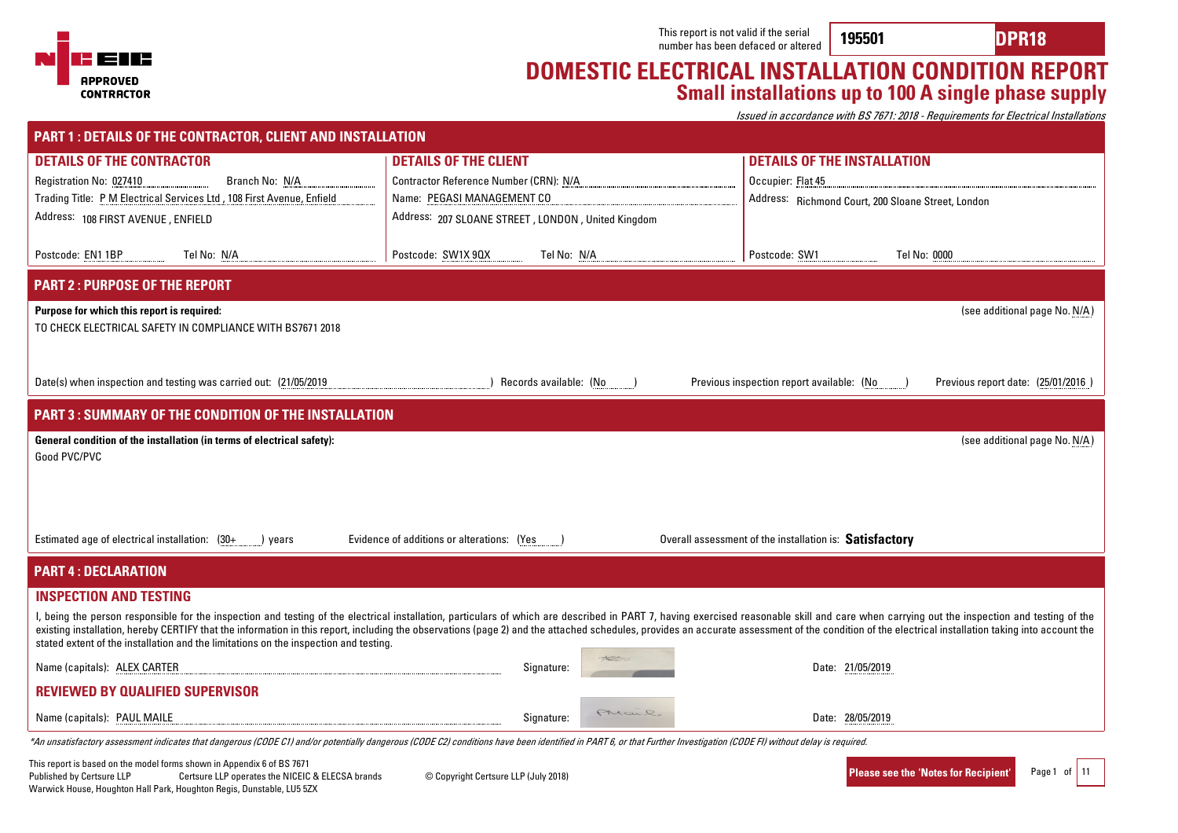

### **DOMESTIC ELECTRICAL INSTALLATION CONDITION REPORT Small installations up to 100 A single phase supply**

Issued in accordance with BS 7671: 2018 - Requirements for Electrical Installations

| <b>PART 1: DETAILS OF THE CONTRACTOR, CLIENT AND INSTALLATION</b>                                       |                                                                                                                                                                                                                       |                                                                                                                                                                                                                                                                                                                                                                                                                                                                  |
|---------------------------------------------------------------------------------------------------------|-----------------------------------------------------------------------------------------------------------------------------------------------------------------------------------------------------------------------|------------------------------------------------------------------------------------------------------------------------------------------------------------------------------------------------------------------------------------------------------------------------------------------------------------------------------------------------------------------------------------------------------------------------------------------------------------------|
| <b>DETAILS OF THE CONTRACTOR</b>                                                                        | <b>DETAILS OF THE CLIENT</b>                                                                                                                                                                                          | <b>DETAILS OF THE INSTALLATION</b>                                                                                                                                                                                                                                                                                                                                                                                                                               |
| Branch No: N/A<br>Registration No: 027410                                                               | Contractor Reference Number (CRN): N/A                                                                                                                                                                                | Occupier: Flat 45                                                                                                                                                                                                                                                                                                                                                                                                                                                |
| Trading Title: P M Electrical Services Ltd , 108 First Avenue, Enfield                                  | Name: PEGASI MANAGEMENT CO                                                                                                                                                                                            | Address: Richmond Court, 200 Sloane Street, London                                                                                                                                                                                                                                                                                                                                                                                                               |
| Address: 108 FIRST AVENUE, ENFIELD                                                                      | Address: 207 SLOANE STREET, LONDON, United Kingdom                                                                                                                                                                    |                                                                                                                                                                                                                                                                                                                                                                                                                                                                  |
| Tel No: N/A<br>Postcode: EN11BP                                                                         | Postcode: SW1X 90X<br>Tel No: N/A                                                                                                                                                                                     | Postcode: SW1<br>Tel No: 0000                                                                                                                                                                                                                                                                                                                                                                                                                                    |
| <b>PART 2: PURPOSE OF THE REPORT</b>                                                                    |                                                                                                                                                                                                                       |                                                                                                                                                                                                                                                                                                                                                                                                                                                                  |
| Purpose for which this report is required:<br>TO CHECK ELECTRICAL SAFETY IN COMPLIANCE WITH BS7671 2018 |                                                                                                                                                                                                                       | (see additional page No. N/A)                                                                                                                                                                                                                                                                                                                                                                                                                                    |
|                                                                                                         |                                                                                                                                                                                                                       |                                                                                                                                                                                                                                                                                                                                                                                                                                                                  |
| Date(s) when inspection and testing was carried out: (21/05/2019                                        | Records available: (No                                                                                                                                                                                                | Previous inspection report available: (No<br>Previous report date: (25/01/2016)                                                                                                                                                                                                                                                                                                                                                                                  |
| <b>PART 3: SUMMARY OF THE CONDITION OF THE INSTALLATION</b>                                             |                                                                                                                                                                                                                       |                                                                                                                                                                                                                                                                                                                                                                                                                                                                  |
| General condition of the installation (in terms of electrical safety):<br>Good PVC/PVC                  |                                                                                                                                                                                                                       | (see additional page No. N/A)                                                                                                                                                                                                                                                                                                                                                                                                                                    |
|                                                                                                         |                                                                                                                                                                                                                       |                                                                                                                                                                                                                                                                                                                                                                                                                                                                  |
|                                                                                                         |                                                                                                                                                                                                                       |                                                                                                                                                                                                                                                                                                                                                                                                                                                                  |
| Estimated age of electrical installation: (30+<br>) years                                               | Evidence of additions or alterations: (Yes                                                                                                                                                                            | Overall assessment of the installation is: Satisfactory                                                                                                                                                                                                                                                                                                                                                                                                          |
| <b>PART 4: DECLARATION</b>                                                                              |                                                                                                                                                                                                                       |                                                                                                                                                                                                                                                                                                                                                                                                                                                                  |
| <b>INSPECTION AND TESTING</b>                                                                           |                                                                                                                                                                                                                       |                                                                                                                                                                                                                                                                                                                                                                                                                                                                  |
| stated extent of the installation and the limitations on the inspection and testing.                    |                                                                                                                                                                                                                       | I, being the person responsible for the inspection and testing of the electrical installation, particulars of which are described in PART 7, having exercised reasonable skill and care when carrying out the inspection and t<br>existing installation, hereby CERTIFY that the information in this report, including the observations (page 2) and the attached schedules, provides an accurate assessment of the condition of the electrical installation tak |
| Name (capitals): ALEX CARTER                                                                            | Signature:                                                                                                                                                                                                            | Date: 21/05/2019                                                                                                                                                                                                                                                                                                                                                                                                                                                 |
| <b>REVIEWED BY QUALIFIED SUPERVISOR</b>                                                                 |                                                                                                                                                                                                                       |                                                                                                                                                                                                                                                                                                                                                                                                                                                                  |
| Name (capitals): PAUL MAILE                                                                             | PMan2.<br>Signature:                                                                                                                                                                                                  | Date: 28/05/2019                                                                                                                                                                                                                                                                                                                                                                                                                                                 |
|                                                                                                         | *An unsatisfactory assessment indicates that dangerous (CODE C1) and/or potentially dangerous (CODE C2) conditions have been identified in PART 6, or that Further Investigation (CODE FI) without delay is required. |                                                                                                                                                                                                                                                                                                                                                                                                                                                                  |

This report is based on the model forms shown in Appendix 6 of BS 7671<br>Published by Certsure LLP coertsure LLP operates the NICEIC Certsure LLP operates the NICEIC & ELECSA brands © Copyright Certsure LLP (July 2018) Warwick House, Houghton Hall Park, Houghton Regis, Dunstable, LU5 5ZX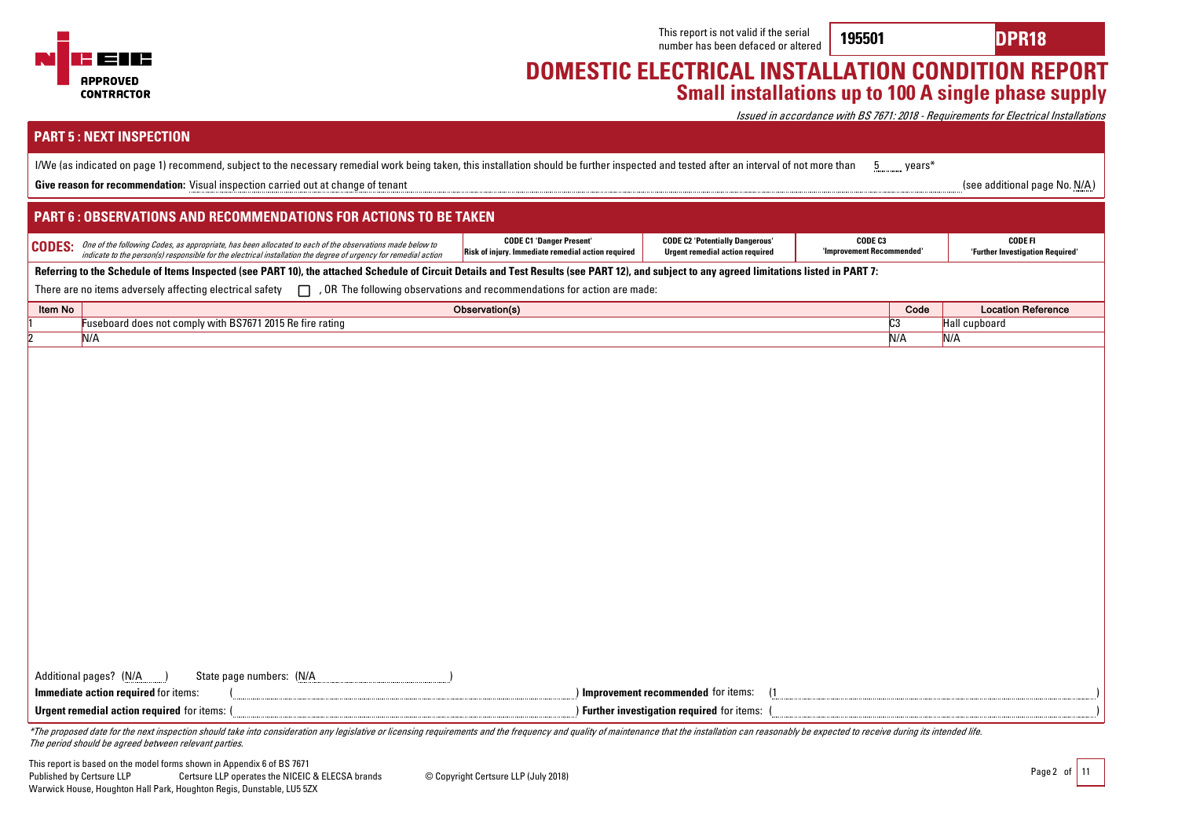

**195501 DPR18**

### **DOMESTIC ELECTRICAL INSTALLATION CONDITION REPORT Small installations up to 100 A single phase supply**

Issued in accordance with BS 7671: 2018 - Requirements for Electrical Installations

| <b>PART 5: NEXT INSPECTION</b>                                                                                                                                                                                                               |                                                                                       |                                                                                  |                                      |      |                                                    |  |
|----------------------------------------------------------------------------------------------------------------------------------------------------------------------------------------------------------------------------------------------|---------------------------------------------------------------------------------------|----------------------------------------------------------------------------------|--------------------------------------|------|----------------------------------------------------|--|
| I/We (as indicated on page 1) recommend, subject to the necessary remedial work being taken, this installation should be further inspected and tested after an interval of not more than<br>wears*<br>5                                      |                                                                                       |                                                                                  |                                      |      |                                                    |  |
| Give reason for recommendation: Visual inspection carried out at change of tenant                                                                                                                                                            |                                                                                       |                                                                                  |                                      |      | (see additional page No. N/A)                      |  |
| <b>PART 6: OBSERVATIONS AND RECOMMENDATIONS FOR ACTIONS TO BE TAKEN</b>                                                                                                                                                                      |                                                                                       |                                                                                  |                                      |      |                                                    |  |
| One of the following Codes, as appropriate, has been allocated to each of the observations made below to<br><b>CODES:</b><br>indicate to the person(s) responsible for the electrical installation the degree of urgency for remedial action | <b>CODE C1 'Danger Present'</b><br>Risk of injury. Immediate remedial action required | <b>CODE C2 'Potentially Dangerous'</b><br><b>Urgent remedial action required</b> | CODE C3<br>'Improvement Recommended' |      | <b>CODE FI</b><br>'Further Investigation Required' |  |
| Referring to the Schedule of Items Inspected (see PART 10), the attached Schedule of Circuit Details and Test Results (see PART 12), and subject to any agreed limitations listed in PART 7:                                                 |                                                                                       |                                                                                  |                                      |      |                                                    |  |
| There are no items adversely affecting electrical safety $\Box$ , OR The following observations and recommendations for action are made:                                                                                                     |                                                                                       |                                                                                  |                                      |      |                                                    |  |
| Item No                                                                                                                                                                                                                                      | Observation(s)                                                                        |                                                                                  |                                      | Code | <b>Location Reference</b>                          |  |
| Fuseboard does not comply with BS7671 2015 Re fire rating                                                                                                                                                                                    |                                                                                       |                                                                                  | C <sub>3</sub>                       |      | Hall cupboard                                      |  |
| N/A                                                                                                                                                                                                                                          |                                                                                       |                                                                                  |                                      | N/A  | N/A                                                |  |
|                                                                                                                                                                                                                                              |                                                                                       |                                                                                  |                                      |      |                                                    |  |
|                                                                                                                                                                                                                                              |                                                                                       |                                                                                  |                                      |      |                                                    |  |
|                                                                                                                                                                                                                                              |                                                                                       |                                                                                  |                                      |      |                                                    |  |
|                                                                                                                                                                                                                                              |                                                                                       |                                                                                  |                                      |      |                                                    |  |
|                                                                                                                                                                                                                                              |                                                                                       |                                                                                  |                                      |      |                                                    |  |
|                                                                                                                                                                                                                                              |                                                                                       |                                                                                  |                                      |      |                                                    |  |
|                                                                                                                                                                                                                                              |                                                                                       |                                                                                  |                                      |      |                                                    |  |
|                                                                                                                                                                                                                                              |                                                                                       |                                                                                  |                                      |      |                                                    |  |
|                                                                                                                                                                                                                                              |                                                                                       |                                                                                  |                                      |      |                                                    |  |
|                                                                                                                                                                                                                                              |                                                                                       |                                                                                  |                                      |      |                                                    |  |
|                                                                                                                                                                                                                                              |                                                                                       |                                                                                  |                                      |      |                                                    |  |
|                                                                                                                                                                                                                                              |                                                                                       |                                                                                  |                                      |      |                                                    |  |
|                                                                                                                                                                                                                                              |                                                                                       |                                                                                  |                                      |      |                                                    |  |
|                                                                                                                                                                                                                                              |                                                                                       |                                                                                  |                                      |      |                                                    |  |
|                                                                                                                                                                                                                                              |                                                                                       |                                                                                  |                                      |      |                                                    |  |
|                                                                                                                                                                                                                                              |                                                                                       |                                                                                  |                                      |      |                                                    |  |
|                                                                                                                                                                                                                                              |                                                                                       |                                                                                  |                                      |      |                                                    |  |
|                                                                                                                                                                                                                                              |                                                                                       |                                                                                  |                                      |      |                                                    |  |
|                                                                                                                                                                                                                                              |                                                                                       |                                                                                  |                                      |      |                                                    |  |
| State page numbers: (N/A<br>Additional pages? (N/A                                                                                                                                                                                           |                                                                                       |                                                                                  |                                      |      |                                                    |  |
| Immediate action required for items:                                                                                                                                                                                                         |                                                                                       | Improvement recommended for items:                                               |                                      |      |                                                    |  |
| Urgent remedial action required for items: (                                                                                                                                                                                                 |                                                                                       | ) Further investigation required for items:                                      |                                      |      |                                                    |  |
| *The proposed date for the next inspection should take into consideration any legislative or licensing requirements and the frequency and quality of maintenance that the installation can reasonably be expected to receive d               |                                                                                       |                                                                                  |                                      |      |                                                    |  |

The period should be agreed between relevant parties.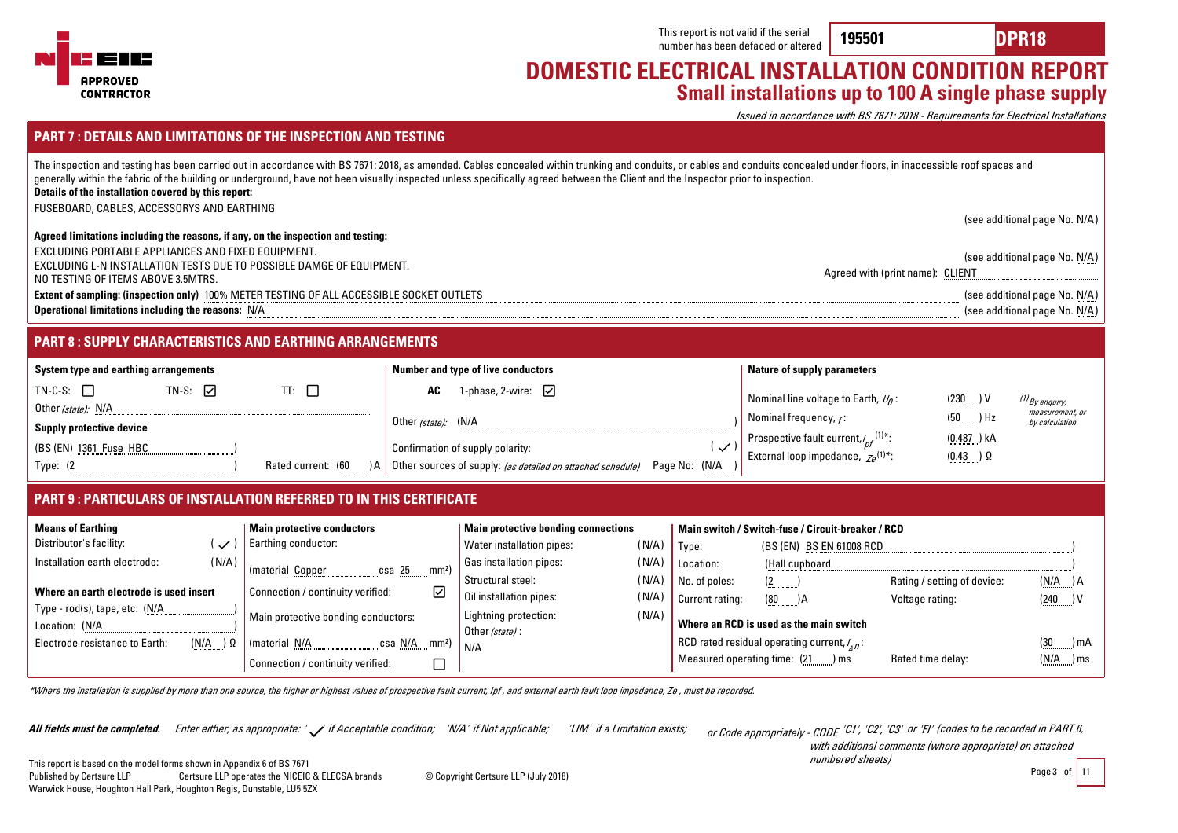

**195501 DPR18**

### **DOMESTIC ELECTRICAL INSTALLATION CONDITION REPORT Small installations up to 100 A single phase supply**

Issued in accordance with BS 7671: 2018 - Requirements for Electrical Installations

**All fields must be completed.** Enter either, as appropriate: 'ノ' if Acceptable condition; 'N/A' if Not applicable; 'LIM' if a Limitation exists; or Code appropriately - CODE or Code appropriately - CODE 'C1', 'C2', 'C3' or 'FI' (codes to be recorded in PART 6,

with additional comments (where appropriate) on attached numbered sheets)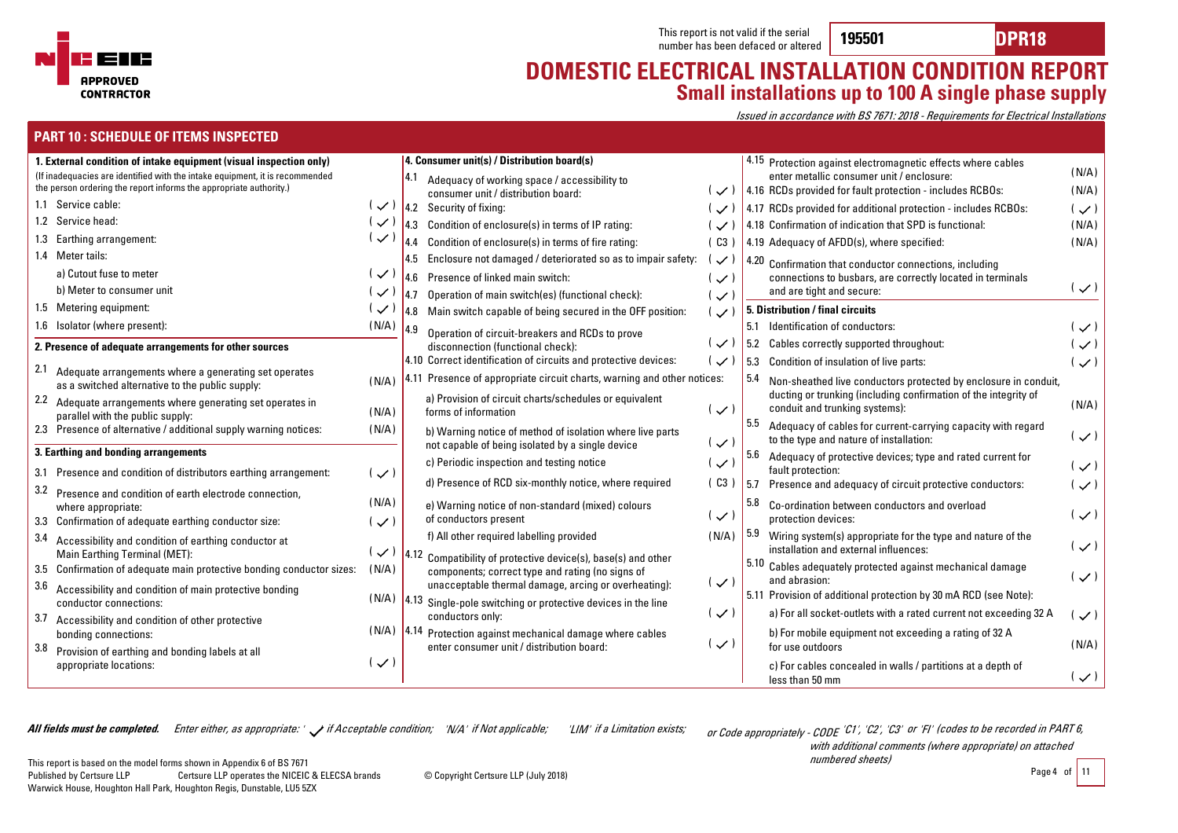

**195501 DPR18**

### **DOMESTIC ELECTRICAL INSTALLATION CONDITION REPORT Small installations up to 100 A single phase supply**

Issued in accordance with BS 7671: 2018 - Requirements for Electrical Installations

#### **PART 10 : SCHEDULE OF ITEMS INSPECTED**

| 1. External condition of intake equipment (visual inspection only)                                                                                 |                          | 4. Consumer unit(s) / Distribution board(s)                                                                                   |                | $ 4.15$ Protection against electromagnetic effects where cables                                                 |                |
|----------------------------------------------------------------------------------------------------------------------------------------------------|--------------------------|-------------------------------------------------------------------------------------------------------------------------------|----------------|-----------------------------------------------------------------------------------------------------------------|----------------|
| (If inadequacies are identified with the intake equipment, it is recommended<br>the person ordering the report informs the appropriate authority.) |                          | 14.1<br>Adequacy of working space / accessibility to<br>consumer unit / distribution board:                                   |                | enter metallic consumer unit / enclosure:<br>$\sim$ ) 4.16 RCDs provided for fault protection - includes RCBOs: | (N/A)<br>(N/A) |
| 1.1 Service cable:                                                                                                                                 | ( / )                    | $ 4.2$ Security of fixing:                                                                                                    | ( / )          | 4.17 RCDs provided for additional protection - includes RCBOs:                                                  | $(\vee)$       |
| 1.2 Service head:                                                                                                                                  | $\overline{\phantom{0}}$ | 4.3 Condition of enclosure(s) in terms of IP rating:                                                                          | ( / )          | 4.18 Confirmation of indication that SPD is functional:                                                         | (N/A)          |
| 1.3 Earthing arrangement:                                                                                                                          | $\checkmark$             | $ 4.4$ Condition of enclosure(s) in terms of fire rating:                                                                     | (C3)           | $\vert$ 4.19 Adequacy of AFDD(s), where specified:                                                              | (N/A)          |
| 1.4 Meter tails:                                                                                                                                   |                          | $\vert$ 4.5 Enclosure not damaged / deteriorated so as to impair safety:                                                      | $\checkmark$   | $\sqrt{4.20}$ Confirmation that conductor connections, including                                                |                |
| a) Cutout fuse to meter                                                                                                                            | $\overline{\phantom{0}}$ | 4.6 Presence of linked main switch:                                                                                           | ( ン )          | connections to busbars, are correctly located in terminals                                                      |                |
| b) Meter to consumer unit                                                                                                                          | $(\checkmark)$           | Operation of main switch(es) (functional check):<br>$ 4.7\rangle$                                                             | ( ン )          | and are tight and secure:                                                                                       | $(\vee)$       |
| 1.5 Metering equipment:                                                                                                                            | しく                       | $\vert$ 4.8 Main switch capable of being secured in the OFF position:                                                         | ( ン )          | 5. Distribution / final circuits                                                                                |                |
| 1.6 Isolator (where present):                                                                                                                      | (N/A)                    | 4.9<br>Operation of circuit-breakers and RCDs to prove                                                                        |                | 5.1 Identification of conductors:                                                                               | $(\vee)$       |
| 2. Presence of adequate arrangements for other sources                                                                                             |                          | disconnection (functional check):                                                                                             | $(\checkmark)$ | 5.2 Cables correctly supported throughout:                                                                      | $(\checkmark)$ |
|                                                                                                                                                    |                          | 4.10 Correct identification of circuits and protective devices:                                                               | ( / )          | 5.3 Condition of insulation of live parts:                                                                      | $(\vee)$       |
| 2.1<br>Adequate arrangements where a generating set operates<br>as a switched alternative to the public supply:                                    | (N/A)                    | 4.11 Presence of appropriate circuit charts, warning and other notices:                                                       |                | 5.4<br>Non-sheathed live conductors protected by enclosure in conduit,                                          |                |
| 2.2 Adequate arrangements where generating set operates in<br>parallel with the public supply:                                                     | (N/A)                    | a) Provision of circuit charts/schedules or equivalent<br>forms of information                                                | $\checkmark$   | ducting or trunking (including confirmation of the integrity of<br>conduit and trunking systems):               | (N/A)          |
| 2.3 Presence of alternative / additional supply warning notices:                                                                                   | (N/A)                    | b) Warning notice of method of isolation where live parts<br>not capable of being isolated by a single device                 | ( ン )          | 5.5<br>Adequacy of cables for current-carrying capacity with regard<br>to the type and nature of installation:  | $(\checkmark)$ |
| 3. Earthing and bonding arrangements                                                                                                               |                          | c) Periodic inspection and testing notice                                                                                     |                | 5.6<br>Adequacy of protective devices; type and rated current for                                               |                |
| 3.1 Presence and condition of distributors earthing arrangement:                                                                                   | $(\checkmark)$           |                                                                                                                               | $(\checkmark)$ | fault protection:                                                                                               | $(\checkmark)$ |
| 3.2<br>Presence and condition of earth electrode connection,                                                                                       |                          | d) Presence of RCD six-monthly notice, where required                                                                         | (C3)           | 5.7 Presence and adequacy of circuit protective conductors:                                                     | $(\checkmark)$ |
| where appropriate:<br>3.3 Confirmation of adequate earthing conductor size:                                                                        | (N/A)<br>$\mathcal{L}$   | e) Warning notice of non-standard (mixed) colours<br>of conductors present                                                    | ( ン )          | 5.8<br>Co-ordination between conductors and overload<br>protection devices:                                     | $(\checkmark)$ |
| 3.4<br>Accessibility and condition of earthing conductor at                                                                                        |                          | f) All other required labelling provided                                                                                      | (N/A)          | 5.9<br>Wiring system(s) appropriate for the type and nature of the                                              |                |
| Main Earthing Terminal (MET):                                                                                                                      | $(\vee)$                 | $\left 4.12\right $ Compatibility of protective device(s), base(s) and other                                                  |                | installation and external influences:                                                                           | $(\checkmark)$ |
| 3.5 Confirmation of adequate main protective bonding conductor sizes:                                                                              | (N/A)                    | components; correct type and rating (no signs of                                                                              |                | 5.10<br>Cables adequately protected against mechanical damage                                                   | $(\vee)$       |
| 3.6 Accessibility and condition of main protective bonding<br>conductor connections:                                                               |                          | unacceptable thermal damage, arcing or overheating):<br>$(N/A)$  4.13 Single-pole switching or protective devices in the line | $(\vee)$       | and abrasion:<br>5.11 Provision of additional protection by 30 mA RCD (see Note):                               |                |
| 3.7<br>Accessibility and condition of other protective                                                                                             |                          | conductors only:                                                                                                              | $(\checkmark)$ | a) For all socket-outlets with a rated current not exceeding 32 A                                               | ( ン )          |
| bonding connections:<br>3.8                                                                                                                        |                          | $(N/A)$  4.14 Protection against mechanical damage where cables<br>enter consumer unit / distribution board:                  | $(\checkmark)$ | b) For mobile equipment not exceeding a rating of 32 A<br>for use outdoors                                      | (N/A)          |
| Provision of earthing and bonding labels at all<br>appropriate locations:                                                                          | ( / )                    |                                                                                                                               |                | c) For cables concealed in walls / partitions at a depth of<br>less than 50 mm                                  | $(\checkmark)$ |

**All fields must be completed.** Enter either, as appropriate: '  $\swarrow$  if Acceptable condition; 'N/A' if Not applicable; 'LIM' if a Limitation exists; or Code appropriately - CODE

or Code appropriately - CODE 'C1', 'C2', 'C3' or 'FI' (codes to be recorded in PART 6, with additional comments (where appropriate) on attached numbered sheets)

Page 4 of 11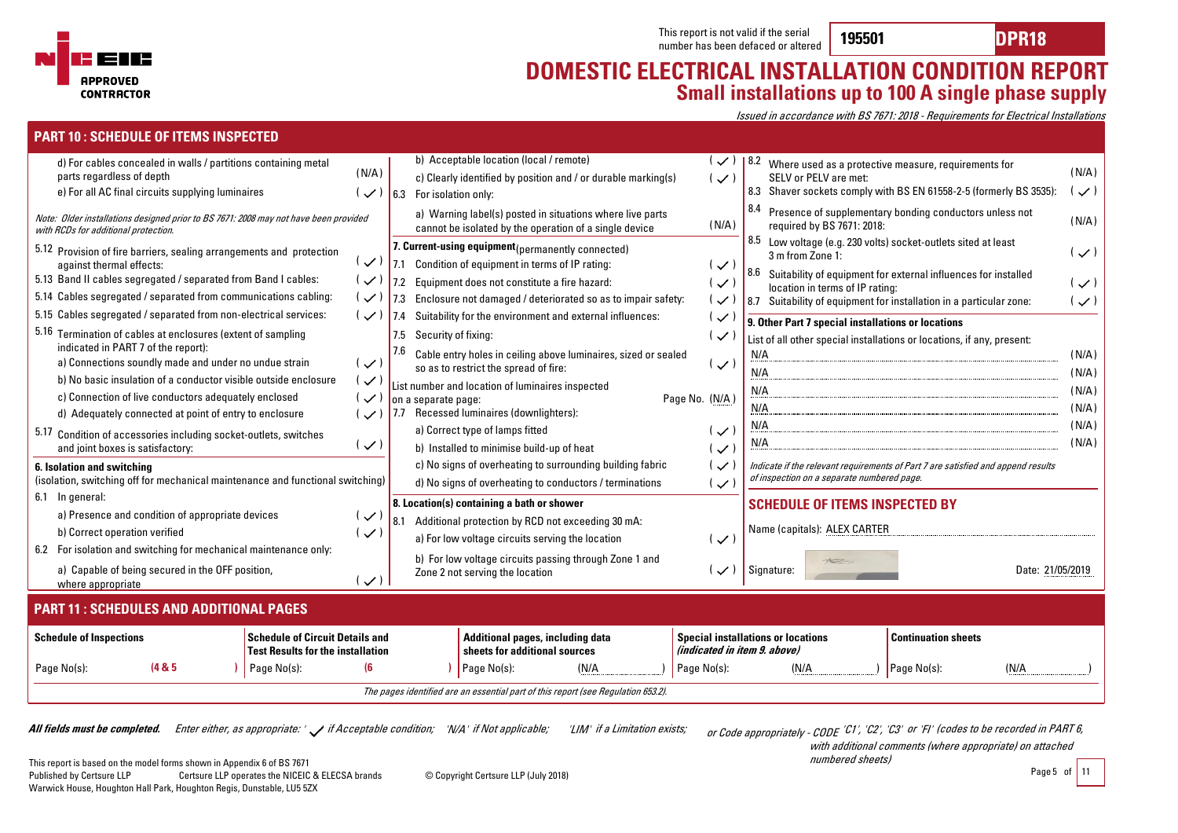

Page No(s): **(4 & 5 )**

**PART 10 : SCHEDULE OF ITEMS INSPECTED**

Page No(s):

### **DOMESTIC ELECTRICAL INSTALLATION CONDITION REPORT Small installations up to 100 A single phase supply**

Issued in accordance with BS 7671: 2018 - Requirements for Electrical Installations

| d) For cables concealed in walls / partitions containing metal<br>parts regardless of depth<br>e) For all AC final circuits supplying luminaires<br>Note: Older installations designed prior to BS 7671: 2008 may not have been provided<br>with RCDs for additional protection.                                                                                                                                                                                                        | (N/A)<br>( / )                                                                        |                    | b) Acceptable location (local / remote)<br>c) Clearly identified by position and / or durable marking(s)<br>6.3 For isolation only:<br>a) Warning label(s) posted in situations where live parts<br>cannot be isolated by the operation of a single device                                                                                                                                                                                                    | $\checkmark$<br>$(\vee)$<br>(N/A)                                                                                        | 8.4                                    | Where used as a protective measure, requirements for<br>SELV or PELV are met:<br>required by BS 7671: 2018:                       | 8.3 Shaver sockets comply with BS EN 61558-2-5 (formerly BS 3535):<br>Presence of supplementary bonding conductors unless not                              | (N/A)<br>( ン )<br>(N/A)                            |  |
|-----------------------------------------------------------------------------------------------------------------------------------------------------------------------------------------------------------------------------------------------------------------------------------------------------------------------------------------------------------------------------------------------------------------------------------------------------------------------------------------|---------------------------------------------------------------------------------------|--------------------|---------------------------------------------------------------------------------------------------------------------------------------------------------------------------------------------------------------------------------------------------------------------------------------------------------------------------------------------------------------------------------------------------------------------------------------------------------------|--------------------------------------------------------------------------------------------------------------------------|----------------------------------------|-----------------------------------------------------------------------------------------------------------------------------------|------------------------------------------------------------------------------------------------------------------------------------------------------------|----------------------------------------------------|--|
| 5.12 Provision of fire barriers, sealing arrangements and protection<br>against thermal effects:<br>5.13 Band II cables segregated / separated from Band I cables:<br>5.14 Cables segregated / separated from communications cabling:<br>5.15 Cables segregated / separated from non-electrical services:                                                                                                                                                                               | ( / )<br>(✓<br>( / )                                                                  | <b>7.2</b><br>17.3 | 7. Current-using equipment (permanently connected)<br>7.1 Condition of equipment in terms of IP rating:<br>Equipment does not constitute a fire hazard:<br>Enclosure not damaged / deteriorated so as to impair safety:                                                                                                                                                                                                                                       | ( ン )<br>$\sim$<br>$\checkmark$                                                                                          | 8.5<br>8.6<br>8.7                      | Low voltage (e.g. 230 volts) socket-outlets sited at least<br>3 m from Zone 1:<br>location in terms of IP rating:                 | Suitability of equipment for external influences for installed<br>Suitability of equipment for installation in a particular zone:                          | $(\checkmark)$<br>$(\checkmark)$<br>$(\checkmark)$ |  |
| 5.16 Termination of cables at enclosures (extent of sampling<br>indicated in PART 7 of the report):<br>a) Connections soundly made and under no undue strain<br>b) No basic insulation of a conductor visible outside enclosure<br>c) Connection of live conductors adequately enclosed<br>d) Adequately connected at point of entry to enclosure<br>5.17 Condition of accessories including socket-outlets, switches<br>and joint boxes is satisfactory:<br>6. Isolation and switching | ( ン )<br>( 〜 )<br>$\checkmark$<br>しン<br>( / )                                         | 7.5<br>l 7.7       | 7.4 Suitability for the environment and external influences:<br>Security of fixing:<br>Cable entry holes in ceiling above luminaires, sized or sealed<br>so as to restrict the spread of fire:<br>List number and location of luminaires inspected<br>on a separate page:<br>Recessed luminaires (downlighters):<br>a) Correct type of lamps fitted<br>b) Installed to minimise build-up of heat<br>c) No signs of overheating to surrounding building fabric | $\mathcal{U}$<br>(✓<br>$(\checkmark)$<br>Page No. (N/A)<br>( / )<br>$\overline{\mathcal{C}}$<br>$\overline{\mathcal{C}}$ | N/A<br>N/A<br>N/A<br>N/A<br>N/A<br>N/A | 9. Other Part 7 special installations or locations                                                                                | List of all other special installations or locations, if any, present:<br>Indicate if the relevant requirements of Part 7 are satisfied and append results | (N/A)<br>(N/A)<br>(N/A)<br>(N/A)<br>(N/A)<br>(N/A) |  |
| (isolation, switching off for mechanical maintenance and functional switching)<br>6.1 In general:<br>a) Presence and condition of appropriate devices<br>b) Correct operation verified<br>6.2 For isolation and switching for mechanical maintenance only:<br>a) Capable of being secured in the OFF position,<br>where appropriate                                                                                                                                                     | $\checkmark$<br>$\checkmark$<br>( ン )                                                 | 8.1                | d) No signs of overheating to conductors / terminations<br>8. Location(s) containing a bath or shower<br>Additional protection by RCD not exceeding 30 mA:<br>a) For low voltage circuits serving the location<br>b) For low voltage circuits passing through Zone 1 and<br>Zone 2 not serving the location                                                                                                                                                   | ( ~ )<br>$\overline{\mathcal{C}}$<br>( / )                                                                               |                                        | of inspection on a separate numbered page.<br><b>SCHEDULE OF ITEMS INSPECTED BY</b><br>Name (capitals): ALEX CARTER<br>Signature: | Date: 21/05/2019                                                                                                                                           |                                                    |  |
|                                                                                                                                                                                                                                                                                                                                                                                                                                                                                         | PART 11 : SCHEDULES AND ADDITIONAL PAGES<br><b>Special installations or locations</b> |                    |                                                                                                                                                                                                                                                                                                                                                                                                                                                               |                                                                                                                          |                                        |                                                                                                                                   |                                                                                                                                                            |                                                    |  |
| <b>Schedule of Inspections</b>                                                                                                                                                                                                                                                                                                                                                                                                                                                          | <b>Schedule of Circuit Details and</b><br><b>Test Results for the installation</b>    |                    | Additional pages, including data<br>sheets for additional sources                                                                                                                                                                                                                                                                                                                                                                                             | (indicated in item 9. above)                                                                                             |                                        |                                                                                                                                   | <b>Continuation sheets</b>                                                                                                                                 |                                                    |  |

The pages identified are an essential part of this report (see Regulation 653.2).

Page No(s): (N/A

**All fields must be completed.** Enter either, as appropriate: '  $\swarrow$  if Acceptable condition; 'N/A' if Not applicable; 'LIM' if a Limitation exists; or Code appropriately - CODE

Page No(s): **(6 )**

or Code appropriately - CODE 'C1', 'C2', 'C3' or 'FI' (codes to be recorded in PART 6, with additional comments (where appropriate) on attached

numbered sheets)

Page No(s):

 $(N/A)$ 

(N/A )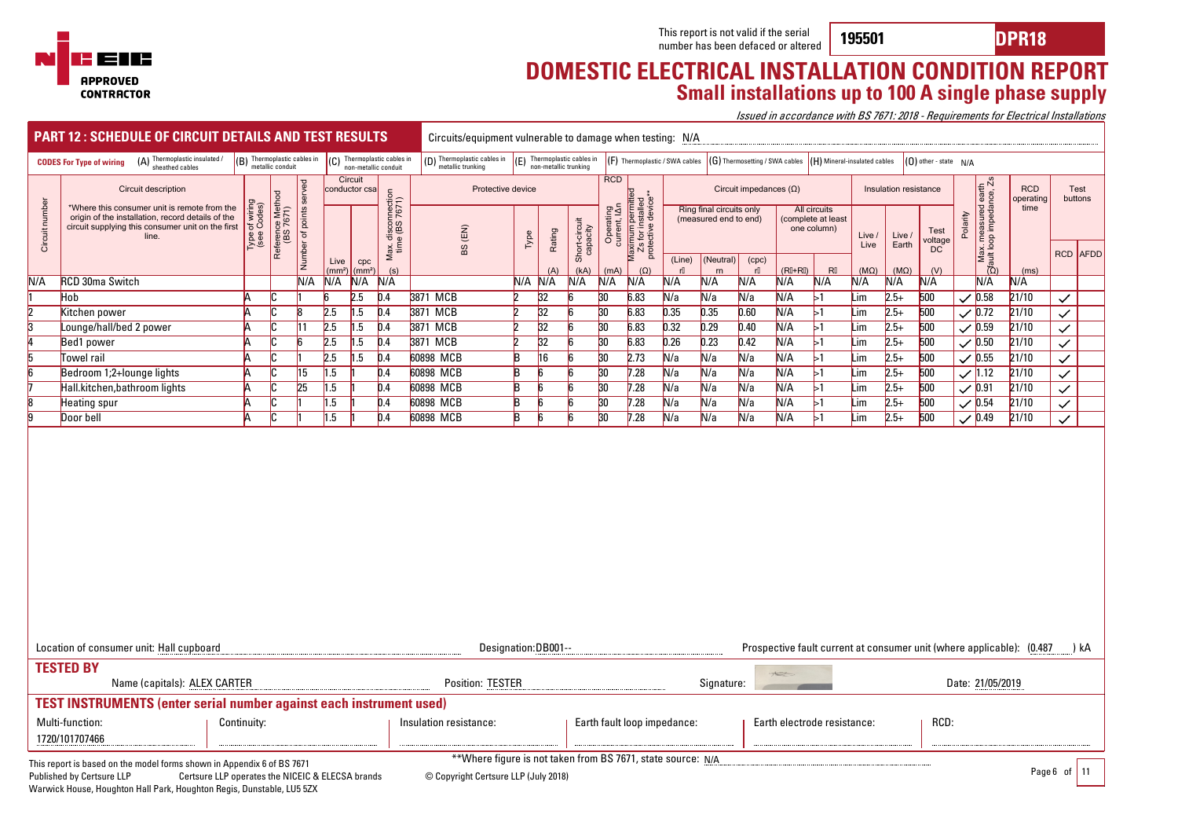

**195501 DPR18**

### **DOMESTIC ELECTRICAL INSTALLATION CONDITION REPORT Small installations up to 100 A single phase supply**

Issued in accordance with BS 7671: 2018 - Requirements for Electrical Installations

|                                                                                                                                                                                              | <b>PART 12: SCHEDULE OF CIRCUIT DETAILS AND TEST RESULTS</b>                                                                                                                                                     |                             |                               |                      |                            |                           |                                      |                                                  | Circuits/equipment vulnerable to damage when testing: N/A |                                                        |                     |                           |                                |                                                              |              |                                                   |             |                                                  |                        |                |                           |                       |          |                                                 |                                                                       |                 |
|----------------------------------------------------------------------------------------------------------------------------------------------------------------------------------------------|------------------------------------------------------------------------------------------------------------------------------------------------------------------------------------------------------------------|-----------------------------|-------------------------------|----------------------|----------------------------|---------------------------|--------------------------------------|--------------------------------------------------|-----------------------------------------------------------|--------------------------------------------------------|---------------------|---------------------------|--------------------------------|--------------------------------------------------------------|--------------|---------------------------------------------------|-------------|--------------------------------------------------|------------------------|----------------|---------------------------|-----------------------|----------|-------------------------------------------------|-----------------------------------------------------------------------|-----------------|
| (B) Thermoplastic cables in<br>C) Thermoplastic cables in<br>(A) Thermoplastic insulated /<br>sheathed cables<br><b>CODES For Type of wiring</b><br>metallic conduit<br>non-metallic conduit |                                                                                                                                                                                                                  |                             |                               |                      |                            |                           |                                      | (D) Thermoplastic cables in<br>metallic trunking |                                                           | $(F)$ Thermoplastic cables in<br>non-metallic trunking |                     |                           | (F) Thermoplastic / SWA cables |                                                              |              | (G) Thermosetting / SWA cables                    |             | (H) Mineral-insulated cables                     |                        |                | $(0)$ other - state $N/A$ |                       |          |                                                 |                                                                       |                 |
|                                                                                                                                                                                              | Circuit description                                                                                                                                                                                              |                             | served                        |                      | Circuit<br>conductor csa   |                           |                                      |                                                  | Protective device                                         |                                                        |                     |                           | <b>RCD</b>                     | Circuit impedances $(\Omega)$                                |              |                                                   |             |                                                  |                        |                | Insulation resistance     |                       |          |                                                 | <b>RCD</b><br>operating                                               | Test<br>buttons |
| Circuit number                                                                                                                                                                               | *Where this consumer unit is remote from the<br>origin of the installation, record details of the<br>circuit supplying this consumer unit on the first<br>line.                                                  | of wiring<br>Codes)<br>see) | Reference Method<br>(BS 7671) | points:<br>Number of |                            |                           | Max. disconnection<br>time (BS 7671) |                                                  | BS (EN)                                                   | Type                                                   | Rating              | Short-circuit<br>capacity | Operating<br>current, IAn      | Maximum permitted<br>Zs for installed<br>protective device** |              | Ring final circuits only<br>(measured end to end) |             | All circuits<br>complete at least<br>one column) |                        | Live /<br>Live | Live<br>Earth             | Test<br>voltage<br>DC | Polarity | Max. measured earth<br>Dault loop impedance, Zs | time                                                                  | RCD AFDD        |
|                                                                                                                                                                                              |                                                                                                                                                                                                                  |                             |                               |                      | Live<br>(mm <sup>2</sup> ) | cpc<br>(mm <sup>2</sup> ) | (s)                                  |                                                  |                                                           |                                                        | (A)                 | (kA)                      | (mA)                           | $(\Omega)$                                                   | (Line)<br>rl | (Neutral)<br>rn                                   | (cpc)<br>rl | $(RI+RI)$                                        | $\mathsf{R}\mathbb{I}$ | $(M\Omega)$    | (M <sub>Ω</sub> )         | (V)                   |          |                                                 | (ms)                                                                  |                 |
| N/A                                                                                                                                                                                          | <b>RCD 30ma Switch</b>                                                                                                                                                                                           |                             |                               | N/A                  | N/A                        | N/A                       | N/A                                  |                                                  |                                                           | N/A                                                    | N/A                 | N/A                       | N/A                            | N/A                                                          | N/A          | N/A                                               | N/A         | N/A                                              | N/A                    | N/A            | N/A                       | N/A                   |          | N/A                                             | N/A                                                                   |                 |
|                                                                                                                                                                                              | Hob                                                                                                                                                                                                              |                             |                               |                      |                            | 2.5                       | 0.4                                  | 3871 MCB                                         |                                                           |                                                        | 32                  |                           | 30                             | 6.83                                                         | N/a          | N/a                                               | N/a         | N/A                                              | Ы.                     | Lim            | $2.5+$                    | 500                   |          | $\sqrt{0.58}$                                   | 21/10                                                                 | $\checkmark$    |
| Þ                                                                                                                                                                                            | Kitchen power                                                                                                                                                                                                    |                             |                               |                      | 2.5                        | 1.5                       | 0.4                                  | 3871 MCB                                         |                                                           |                                                        | 32                  |                           | 30                             | 6.83                                                         | 0.35         | 0.35                                              | 0.60        | N/A                                              | $\mathsf{L}1$          | Lim            | $2.5+$                    | 500                   |          | $\sqrt{0.72}$                                   | 21/10                                                                 | $\checkmark$    |
| h.                                                                                                                                                                                           | Lounge/hall/bed 2 power                                                                                                                                                                                          |                             |                               | l1 1                 | 2.5                        | 1.5                       | 0.4                                  | 3871 MCB                                         |                                                           |                                                        | $\overline{32}$     |                           | 30 <sup>2</sup>                | 6.83                                                         | 0.32         | 0.29                                              | 0.40        | N/A                                              | Ы.                     | Lim            | $2.5+$                    | 500                   |          | $\sqrt{0.59}$                                   | 21/10                                                                 | $\checkmark$    |
|                                                                                                                                                                                              | Bed1 power                                                                                                                                                                                                       |                             |                               |                      | 2.5                        | 1.5                       | 0.4                                  | 3871 MCB                                         |                                                           |                                                        | 32                  |                           | 30                             | 6.83                                                         | 0.26         | 0.23                                              | 0.42        | N/A                                              | Ы.                     | Lim            | $2.5+$                    | 500                   |          | $\sqrt{0.50}$                                   | 21/10                                                                 | $\checkmark$    |
|                                                                                                                                                                                              | Towel rail                                                                                                                                                                                                       |                             |                               |                      | 2.5                        | 1.5                       | 0.4                                  | 60898 MCB                                        |                                                           | R                                                      | 16                  |                           | 30                             | 2.73                                                         | N/a          | N/a                                               | N/a         | N/A                                              | $\mathsf{L}1$          | Lim            | $2.5+$                    | 500                   |          | $\sqrt{0.55}$                                   | 21/10                                                                 | $\checkmark$    |
|                                                                                                                                                                                              | Bedroom 1;2+lounge lights                                                                                                                                                                                        |                             |                               | 15                   | 1.5                        |                           | 0.4                                  | 60898 MCB                                        |                                                           | R                                                      |                     |                           | 30                             | 7.28                                                         | N/a          | N/a                                               | N/a         | N/A                                              | >1                     | Lim            | $2.5+$                    | 500                   |          | $\sqrt{1.12}$                                   | 21/10                                                                 | $\checkmark$    |
|                                                                                                                                                                                              | Hall.kitchen, bathroom lights                                                                                                                                                                                    |                             |                               | 25                   | 1.5                        |                           | $\overline{0.4}$                     | 60898 MCB                                        |                                                           | R                                                      |                     |                           | 30                             | 7.28                                                         | N/a          | N/a                                               | N/a         | N/A                                              | Ь1                     | Lim            | $2.5+$                    | 500                   |          | $\sqrt{0.91}$                                   | 21/10                                                                 | $\checkmark$    |
|                                                                                                                                                                                              | <b>Heating spur</b>                                                                                                                                                                                              |                             |                               |                      | 1.5                        |                           | 0.4                                  | 60898 MCB                                        |                                                           | B                                                      |                     |                           | 30                             | 7.28                                                         | N/a          | N/a                                               | N/a         | N/A                                              | Ы.                     | Lim            | $2.5+$                    | 500                   |          | $\sqrt{0.54}$                                   | 21/10                                                                 | $\checkmark$    |
|                                                                                                                                                                                              | Door bell                                                                                                                                                                                                        |                             |                               |                      | 1.5                        |                           | 0.4                                  | 60898 MCB                                        |                                                           | B                                                      |                     |                           | $\overline{30}$                | 7.28                                                         | N/a          | N/a                                               | N/a         | N/A                                              | Ь1                     | Lim            | $2.5+$                    | 500                   |          | $\sqrt{0.49}$                                   | 21/10                                                                 | $\checkmark$    |
|                                                                                                                                                                                              |                                                                                                                                                                                                                  |                             |                               |                      |                            |                           |                                      |                                                  |                                                           |                                                        |                     |                           |                                |                                                              |              |                                                   |             |                                                  |                        |                |                           |                       |          |                                                 |                                                                       |                 |
| Location of consumer unit: Hall cupboard                                                                                                                                                     |                                                                                                                                                                                                                  |                             |                               |                      |                            |                           |                                      |                                                  |                                                           |                                                        | Designation:DB001-- |                           |                                |                                                              |              |                                                   |             |                                                  |                        |                |                           |                       |          |                                                 | Prospective fault current at consumer unit (where applicable): (0.487 | ) kA            |
|                                                                                                                                                                                              | <b>TESTED BY</b><br>Name (capitals): ALEX CARTER                                                                                                                                                                 |                             |                               |                      |                            |                           |                                      |                                                  | <b>Position: TESTER</b>                                   |                                                        |                     |                           |                                |                                                              |              | Signature:                                        |             | $+2$                                             |                        |                |                           |                       |          | Date: 21/05/2019                                |                                                                       |                 |
|                                                                                                                                                                                              | <b>TEST INSTRUMENTS (enter serial number against each instrument used)</b>                                                                                                                                       |                             |                               |                      |                            |                           |                                      |                                                  |                                                           |                                                        |                     |                           |                                |                                                              |              |                                                   |             |                                                  |                        |                |                           |                       |          |                                                 |                                                                       |                 |
|                                                                                                                                                                                              | Multi-function:<br>1720/101707466                                                                                                                                                                                | Continuity:                 |                               |                      |                            |                           |                                      |                                                  | Insulation resistance:                                    |                                                        |                     |                           |                                | Earth fault loop impedance:                                  |              |                                                   |             | Earth electrode resistance:                      |                        |                |                           | RCD:                  |          |                                                 |                                                                       |                 |
|                                                                                                                                                                                              | ** Where figure is not taken from BS 7671, state source: N/A<br>This report is based on the model forms shown in Appendix 6 of BS 7671                                                                           |                             |                               |                      |                            |                           |                                      |                                                  |                                                           |                                                        |                     |                           |                                |                                                              |              |                                                   |             |                                                  |                        |                |                           |                       |          |                                                 |                                                                       |                 |
|                                                                                                                                                                                              | Page 6 of $11$<br>Certsure LLP operates the NICEIC & ELECSA brands<br>Published by Certsure LLP<br>© Copyright Certsure LLP (July 2018)<br>Warwick House, Houghton Hall Park, Houghton Regis, Dunstable, LU5 5ZX |                             |                               |                      |                            |                           |                                      |                                                  |                                                           |                                                        |                     |                           |                                |                                                              |              |                                                   |             |                                                  |                        |                |                           |                       |          |                                                 |                                                                       |                 |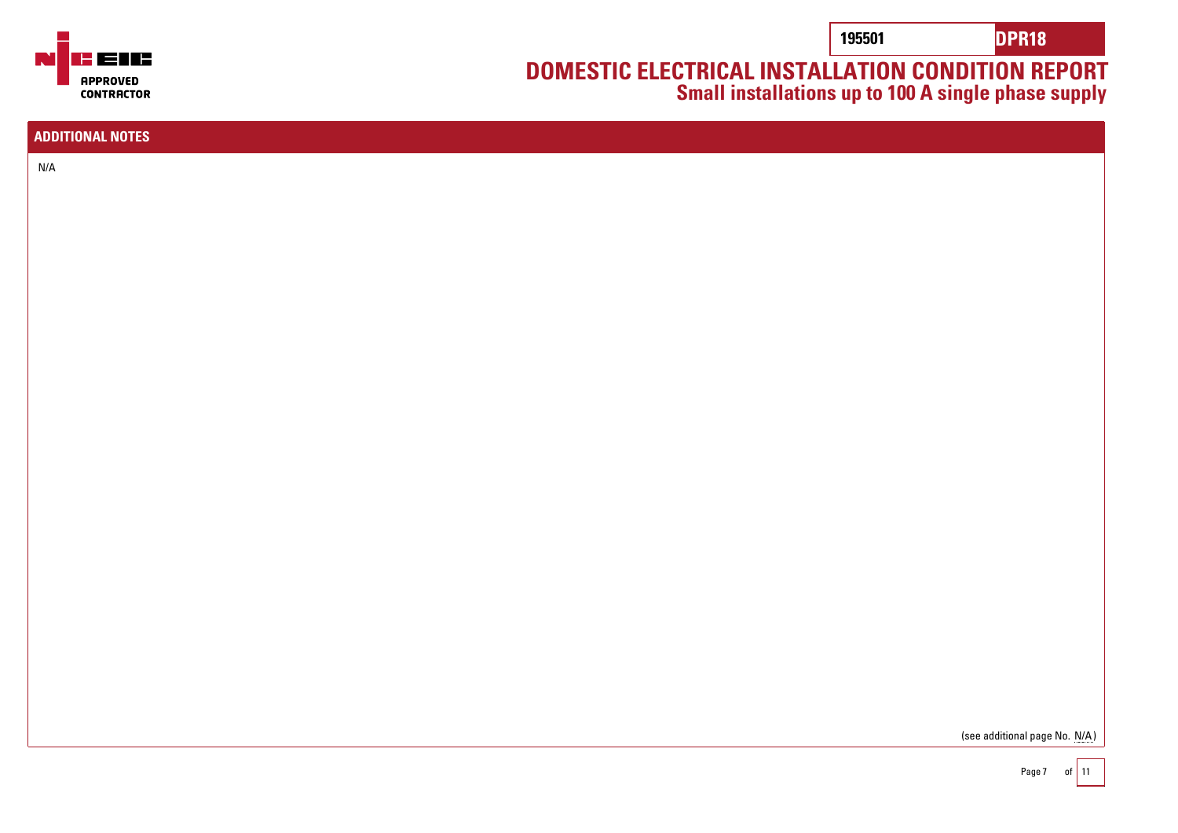**195501 DPR18**

## **DOMESTIC ELECTRICAL INSTALLATION CONDITION REPORT Small installations up to 100 A single phase supply**

<u>s ens</u> **APPROVED CONTRACTOR** 

| <b>ADDITIONAL NOTES</b>       |
|-------------------------------|
|                               |
| N/A                           |
|                               |
|                               |
|                               |
|                               |
|                               |
|                               |
|                               |
|                               |
|                               |
|                               |
|                               |
|                               |
|                               |
|                               |
|                               |
|                               |
|                               |
|                               |
|                               |
|                               |
|                               |
|                               |
|                               |
|                               |
|                               |
|                               |
|                               |
| (see additional page No. N/A) |
|                               |
| $P$ ane 7 of 11               |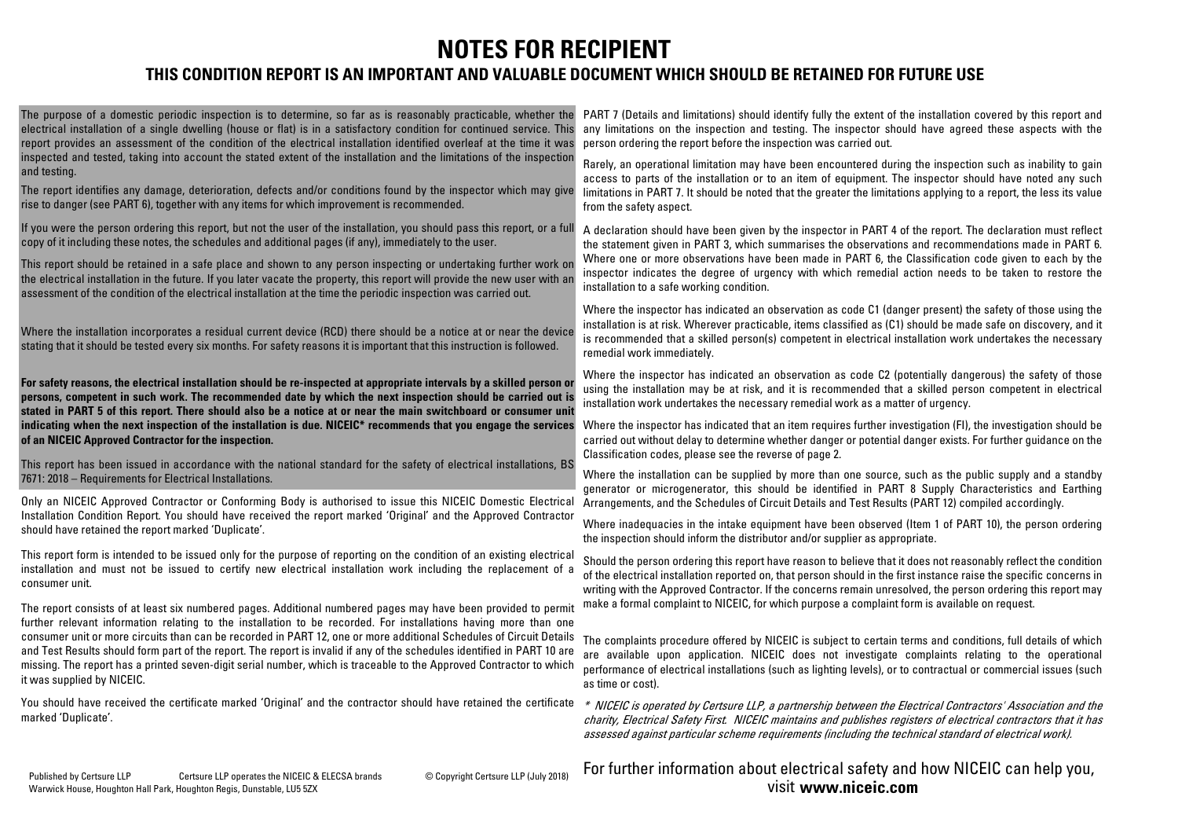# **NOTES FOR RECIPIENT**

### **THIS CONDITION REPORT IS AN IMPORTANT AND VALUABLE DOCUMENT WHICH SHOULD BE RETAINED FOR FUTURE USE**

The purpose of a domestic periodic inspection is to determine, so far as is reasonably practicable, whether the electrical installation of a single dwelling (house or flat) is in a satisfactory condition for continued service. This report provides an assessment of the condition of the electrical installation identified overleaf at the time it was inspected and tested, taking into account the stated extent of the installation and the limitations of the inspection and testing.

The report identifies any damage, deterioration, defects and/or conditions found by the inspector which may give rise to danger (see PART 6), together with any items for which improvement is recommended.

If you were the person ordering this report, but not the user of the installation, you should pass this report, or a full copy of it including these notes, the schedules and additional pages (if any), immediately to the user.

This report should be retained in a safe place and shown to any person inspecting or undertaking further work on the electrical installation in the future. If you later vacate the property, this report will provide the new user with an assessment of the condition of the electrical installation at the time the periodic inspection was carried out.

Where the installation incorporates a residual current device (RCD) there should be a notice at or near the device stating that it should be tested every six months. For safety reasons it is important that this instruction is followed.

For safety reasons, the electrical installation should be re-inspected at appropriate intervals by a skilled person o persons, competent in such work. The recommended date by which the next inspection should be carried out is stated in PART 5 of this report. There should also be a notice at or near the main switchboard or consumer uni indicating when the next inspection of the installation is due. NICEIC\* recommends that you engage the services **of an NICEIC Approved Contractor for the inspection.**

This report has been issued in accordance with the national standard for the safety of electrical installations, BS 7671: 2018 – Requirements for Electrical Installations.

Only an NICEIC Approved Contractor or Conforming Body is authorised to issue this NICEIC Domestic Electrical Installation Condition Report. You should have received the report marked 'Original' and the Approved Contractor should have retained the report marked 'Duplicate'.

This report form is intended to be issued only for the purpose of reporting on the condition of an existing electrical installation and must not be issued to certify new electrical installation work including the replacement of a consumer unit.

The report consists of at least six numbered pages. Additional numbered pages may have been provided to permit further relevant information relating to the installation to be recorded. For installations having more than one consumer unit or more circuits than can be recorded in PART 12, one or more additional Schedules of Circuit Details and Test Results should form part of the report. The report is invalid if any of the schedules identified in PART 10 are missing. The report has a printed seven-digit serial number, which is traceable to the Approved Contractor to which it was supplied by NICEIC.

You should have received the certificate marked 'Original' and the contractor should have retained the certificate \* NICEIC is operated by Certsure LLP, a partnership between the Electrical Contractors' Association and the marked 'Duplicate'.

PART 7 (Details and limitations) should identify fully the extent of the installation covered by this report and any limitations on the inspection and testing. The inspector should have agreed these aspects with the person ordering the report before the inspection was carried out.

Rarely, an operational limitation may have been encountered during the inspection such as inability to gain access to parts of the installation or to an item of equipment. The inspector should have noted any such limitations in PART 7. It should be noted that the greater the limitations applying to a report, the less its value from the safety aspect.

A declaration should have been given by the inspector in PART 4 of the report. The declaration must reflect the statement given in PART 3, which summarises the observations and recommendations made in PART 6. Where one or more observations have been made in PART 6, the Classification code given to each by the inspector indicates the degree of urgency with which remedial action needs to be taken to restore the installation to a safe working condition.

Where the inspector has indicated an observation as code C1 (danger present) the safety of those using the installation is at risk. Wherever practicable, items classified as (C1) should be made safe on discovery, and it is recommended that a skilled person(s) competent in electrical installation work undertakes the necessary remedial work immediately.

Where the inspector has indicated an observation as code C2 (potentially dangerous) the safety of those using the installation may be at risk, and it is recommended that a skilled person competent in electrical installation work undertakes the necessary remedial work as a matter of urgency.

Where the inspector has indicated that an item requires further investigation (FI), the investigation should be carried out without delay to determine whether danger or potential danger exists. For further guidance on the Classification codes, please see the reverse of page 2.

Where the installation can be supplied by more than one source, such as the public supply and a standby generator or microgenerator, this should be identified in PART 8 Supply Characteristics and Earthing Arrangements, and the Schedules of Circuit Details and Test Results (PART 12) compiled accordingly.

Where inadequacies in the intake equipment have been observed (Item 1 of PART 10), the person ordering the inspection should inform the distributor and/or supplier as appropriate.

Should the person ordering this report have reason to believe that it does not reasonably reflect the condition of the electrical installation reported on, that person should in the first instance raise the specific concerns in writing with the Approved Contractor. If the concerns remain unresolved, the person ordering this report may make a formal complaint to NICEIC, for which purpose a complaint form is available on request.

The complaints procedure offered by NICEIC is subject to certain terms and conditions, full details of which are available upon application. NICEIC does not investigate complaints relating to the operational performance of electrical installations (such as lighting levels), or to contractual or commercial issues (such as time or cost).

charity, Electrical Safety First. NICEIC maintains and publishes registers of electrical contractors that it has assessed against particular scheme requirements (including the technical standard of electrical work).

Published by Certsure LLP Certsure LLP operates the NICEIC & ELECSA brands Copyright Certsure LLP (July 2018) Warwick House, Houghton Hall Park, Houghton Regis, Dunstable, LU5 5ZX

For further information about electrical safety and how NICEIC can help you, **www.niceic.com** visit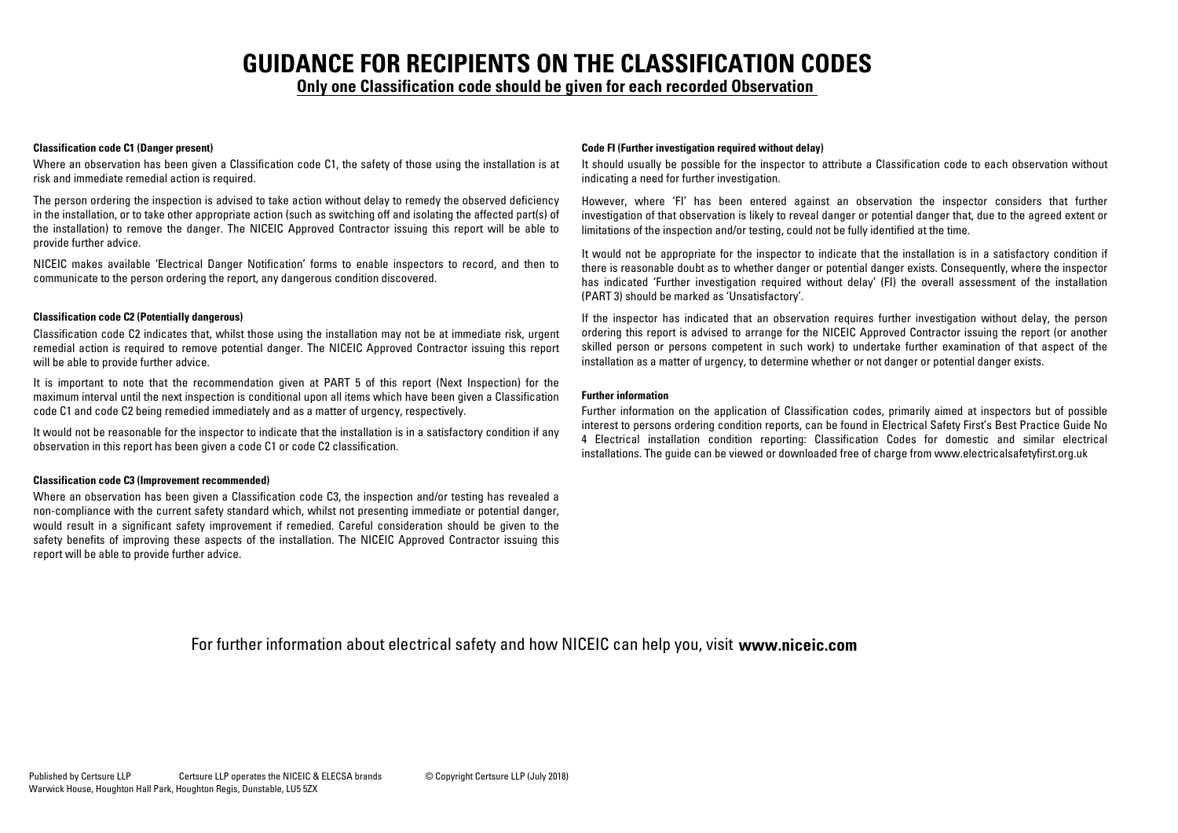# **GUIDANCE FOR RECIPIENTS ON THE CLASSIFICATION CODES**

**Only one Classification code should be given for each recorded Observation**

Where an observation has been given a Classification code C1, the safety of those using the installation is at risk and immediate remedial action is required.

The person ordering the inspection is advised to take action without delay to remedy the observed deficiency in the installation, or to take other appropriate action (such as switching off and isolating the affected part(s) of the installation) to remove the danger. The NICEIC Approved Contractor issuing this report will be able to provide further advice.

NICEIC makes available 'Electrical Danger Notification' forms to enable inspectors to record, and then to communicate to the person ordering the report, any dangerous condition discovered.

#### **Classification code C2 (Potentially dangerous)**

Classification code C2 indicates that, whilst those using the installation may not be at immediate risk, urgent remedial action is required to remove potential danger. The NICEIC Approved Contractor issuing this report will be able to provide further advice.

It is important to note that the recommendation given at PART 5 of this report (Next Inspection) for the maximum interval until the next inspection is conditional upon all items which have been given a Classification code C1 and code C2 being remedied immediately and as a matter of urgency, respectively.

It would not be reasonable for the inspector to indicate that the installation is in a satisfactory condition if any observation in this report has been given a code C1 or code C2 classification.

#### **Classification code C3 (Improvement recommended)**

Where an observation has been given a Classification code C3, the inspection and/or testing has revealed a non-compliance with the current safety standard which, whilst not presenting immediate or potential danger, would result in a significant safety improvement if remedied. Careful consideration should be given to the safety benefits of improving these aspects of the installation. The NICEIC Approved Contractor issuing this report will be able to provide further advice.

#### **Classification code C1 (Danger present) Code FI (Further investigation required without delay)**

It should usually be possible for the inspector to attribute a Classification code to each observation without indicating a need for further investigation.

However, where 'FI' has been entered against an observation the inspector considers that further investigation of that observation is likely to reveal danger or potential danger that, due to the agreed extent or limitations of the inspection and/or testing, could not be fully identified at the time.

It would not be appropriate for the inspector to indicate that the installation is in a satisfactory condition if there is reasonable doubt as to whether danger or potential danger exists. Consequently, where the inspector has indicated 'Further investigation required without delay' (FI) the overall assessment of the installation (PART 3) should be marked as 'Unsatisfactory'.

If the inspector has indicated that an observation requires further investigation without delay, the person ordering this report is advised to arrange for the NICEIC Approved Contractor issuing the report (or another skilled person or persons competent in such work) to undertake further examination of that aspect of the installation as a matter of urgency, to determine whether or not danger or potential danger exists.

#### **Further information**

Further information on the application of Classification codes, primarily aimed at inspectors but of possible interest to persons ordering condition reports, can be found in Electrical Safety First's Best Practice Guide No 4 Electrical installation condition reporting: Classification Codes for domestic and similar electrical installations. The guide can be viewed or downloaded free of charge from www.electricalsafetyfirst.org.uk

For further information about electrical safety and how NICEIC can help you, visit **www.niceic.com**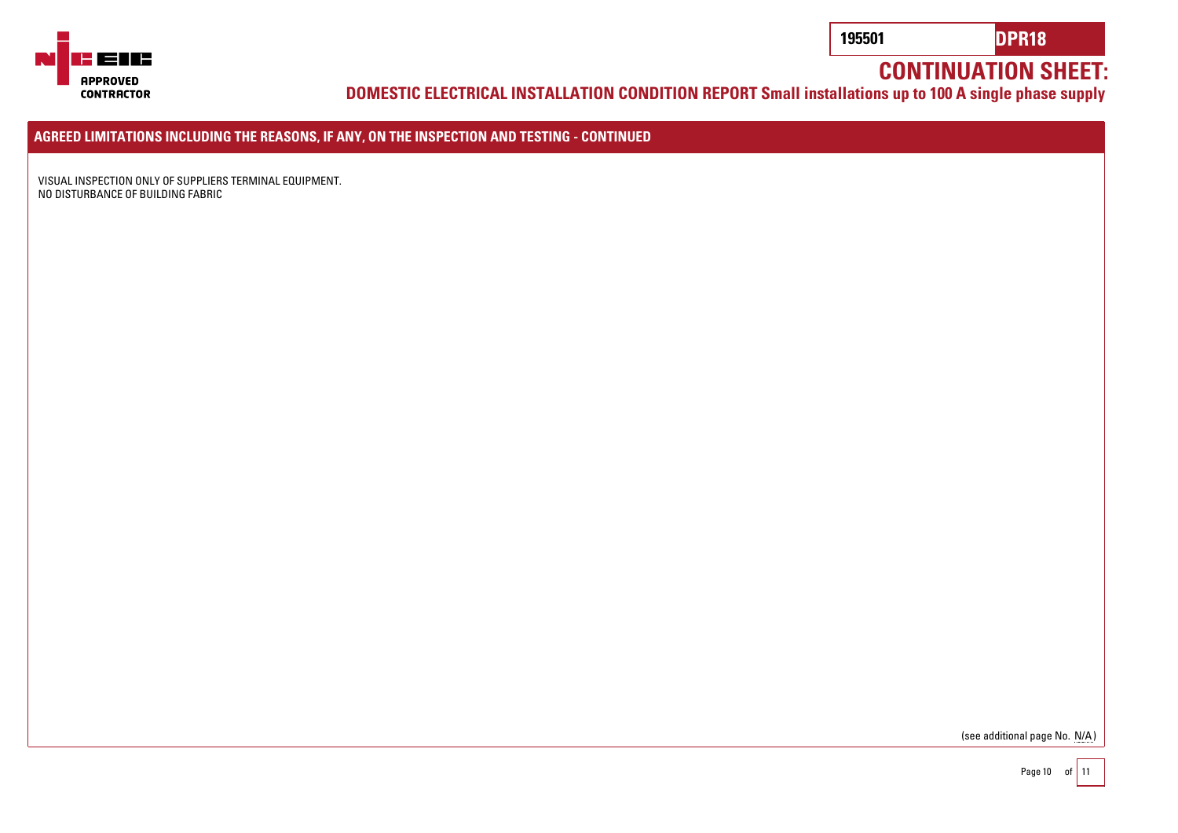

**DOMESTIC ELECTRICAL INSTALLATION CONDITION REPORT Small installations up to 100 A single phase supply**

**AGREED LIMITATIONS INCLUDING THE REASONS, IF ANY, ON THE INSPECTION AND TESTING - CONTINUED**

VISUAL INSPECTION ONLY OF SUPPLIERS TERMINAL EQUIPMENT. NO DISTURBANCE OF BUILDING FABRIC

(see additional page No. N/A)